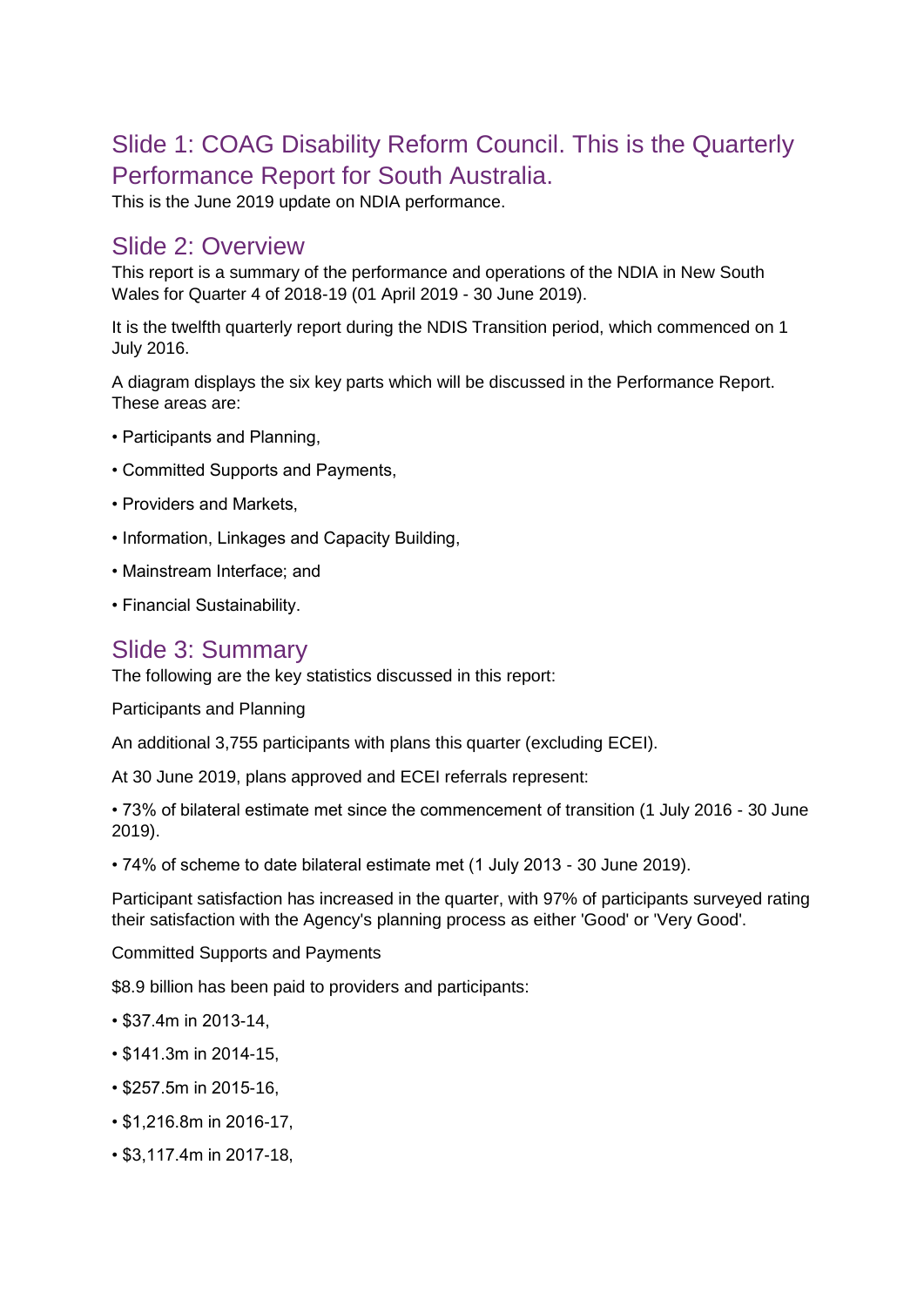# Slide 1: COAG Disability Reform Council. This is the Quarterly Performance Report for South Australia.

This is the June 2019 update on NDIA performance.

#### Slide 2: Overview

This report is a summary of the performance and operations of the NDIA in New South Wales for Quarter 4 of 2018-19 (01 April 2019 - 30 June 2019).

It is the twelfth quarterly report during the NDIS Transition period, which commenced on 1 July 2016.

A diagram displays the six key parts which will be discussed in the Performance Report. These areas are:

- Participants and Planning,
- Committed Supports and Payments,
- Providers and Markets,
- Information, Linkages and Capacity Building,
- Mainstream Interface; and
- Financial Sustainability.

#### Slide 3: Summary

The following are the key statistics discussed in this report:

Participants and Planning

An additional 3,755 participants with plans this quarter (excluding ECEI).

At 30 June 2019, plans approved and ECEI referrals represent:

• 73% of bilateral estimate met since the commencement of transition (1 July 2016 - 30 June 2019).

• 74% of scheme to date bilateral estimate met (1 July 2013 - 30 June 2019).

Participant satisfaction has increased in the quarter, with 97% of participants surveyed rating their satisfaction with the Agency's planning process as either 'Good' or 'Very Good'.

Committed Supports and Payments

\$8.9 billion has been paid to providers and participants:

- \$37.4m in 2013-14,
- \$141.3m in 2014-15,
- \$257.5m in 2015-16,
- \$1,216.8m in 2016-17,
- \$3,117.4m in 2017-18,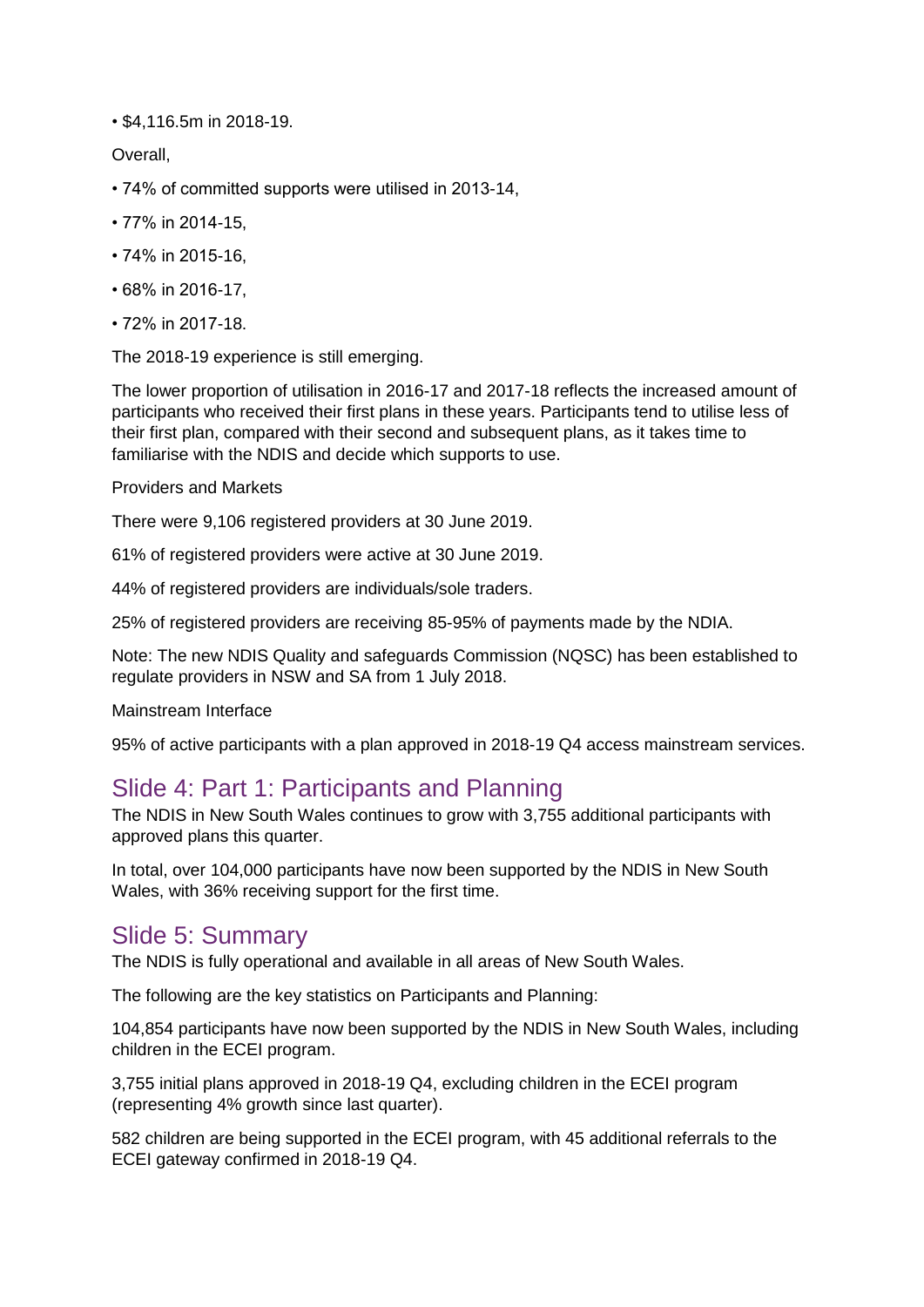• \$4,116.5m in 2018-19.

Overall,

- 74% of committed supports were utilised in 2013-14,
- 77% in 2014-15,
- 74% in 2015-16,
- 68% in 2016-17,
- 72% in 2017-18.

The 2018-19 experience is still emerging.

The lower proportion of utilisation in 2016-17 and 2017-18 reflects the increased amount of participants who received their first plans in these years. Participants tend to utilise less of their first plan, compared with their second and subsequent plans, as it takes time to familiarise with the NDIS and decide which supports to use.

#### Providers and Markets

There were 9,106 registered providers at 30 June 2019.

61% of registered providers were active at 30 June 2019.

44% of registered providers are individuals/sole traders.

25% of registered providers are receiving 85-95% of payments made by the NDIA.

Note: The new NDIS Quality and safeguards Commission (NQSC) has been established to regulate providers in NSW and SA from 1 July 2018.

Mainstream Interface

95% of active participants with a plan approved in 2018-19 Q4 access mainstream services.

### Slide 4: Part 1: Participants and Planning

The NDIS in New South Wales continues to grow with 3,755 additional participants with approved plans this quarter.

In total, over 104,000 participants have now been supported by the NDIS in New South Wales, with 36% receiving support for the first time.

## Slide 5: Summary

The NDIS is fully operational and available in all areas of New South Wales.

The following are the key statistics on Participants and Planning:

104,854 participants have now been supported by the NDIS in New South Wales, including children in the ECEI program.

3,755 initial plans approved in 2018-19 Q4, excluding children in the ECEI program (representing 4% growth since last quarter).

582 children are being supported in the ECEI program, with 45 additional referrals to the ECEI gateway confirmed in 2018-19 Q4.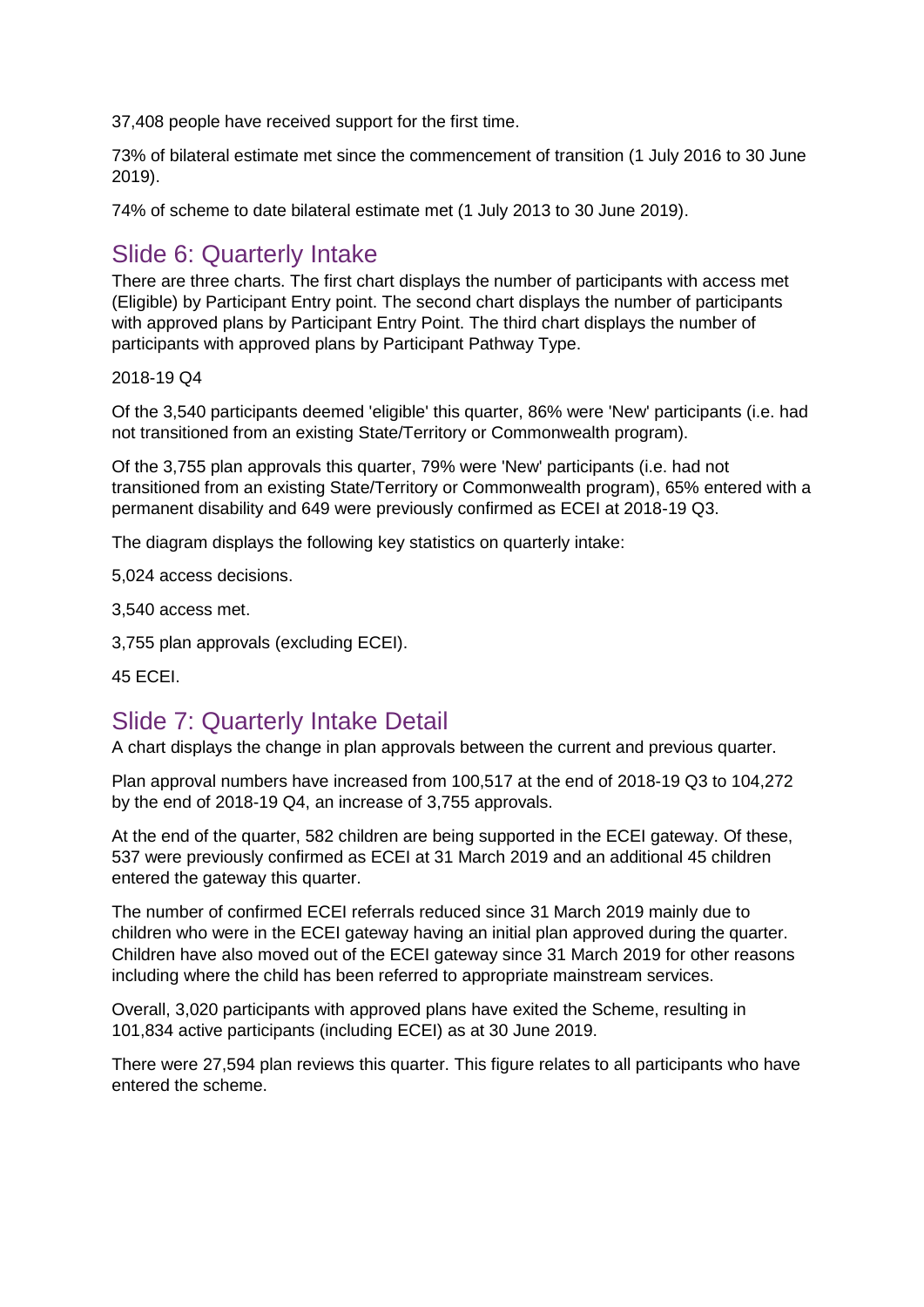37,408 people have received support for the first time.

73% of bilateral estimate met since the commencement of transition (1 July 2016 to 30 June 2019).

74% of scheme to date bilateral estimate met (1 July 2013 to 30 June 2019).

# Slide 6: Quarterly Intake

There are three charts. The first chart displays the number of participants with access met (Eligible) by Participant Entry point. The second chart displays the number of participants with approved plans by Participant Entry Point. The third chart displays the number of participants with approved plans by Participant Pathway Type.

2018-19 Q4

Of the 3,540 participants deemed 'eligible' this quarter, 86% were 'New' participants (i.e. had not transitioned from an existing State/Territory or Commonwealth program).

Of the 3,755 plan approvals this quarter, 79% were 'New' participants (i.e. had not transitioned from an existing State/Territory or Commonwealth program), 65% entered with a permanent disability and 649 were previously confirmed as ECEI at 2018-19 Q3.

The diagram displays the following key statistics on quarterly intake:

5,024 access decisions.

3,540 access met.

3,755 plan approvals (excluding ECEI).

45 ECEI.

# Slide 7: Quarterly Intake Detail

A chart displays the change in plan approvals between the current and previous quarter.

Plan approval numbers have increased from 100,517 at the end of 2018-19 Q3 to 104,272 by the end of 2018-19 Q4, an increase of 3,755 approvals.

At the end of the quarter, 582 children are being supported in the ECEI gateway. Of these, 537 were previously confirmed as ECEI at 31 March 2019 and an additional 45 children entered the gateway this quarter.

The number of confirmed ECEI referrals reduced since 31 March 2019 mainly due to children who were in the ECEI gateway having an initial plan approved during the quarter. Children have also moved out of the ECEI gateway since 31 March 2019 for other reasons including where the child has been referred to appropriate mainstream services.

Overall, 3,020 participants with approved plans have exited the Scheme, resulting in 101,834 active participants (including ECEI) as at 30 June 2019.

There were 27,594 plan reviews this quarter. This figure relates to all participants who have entered the scheme.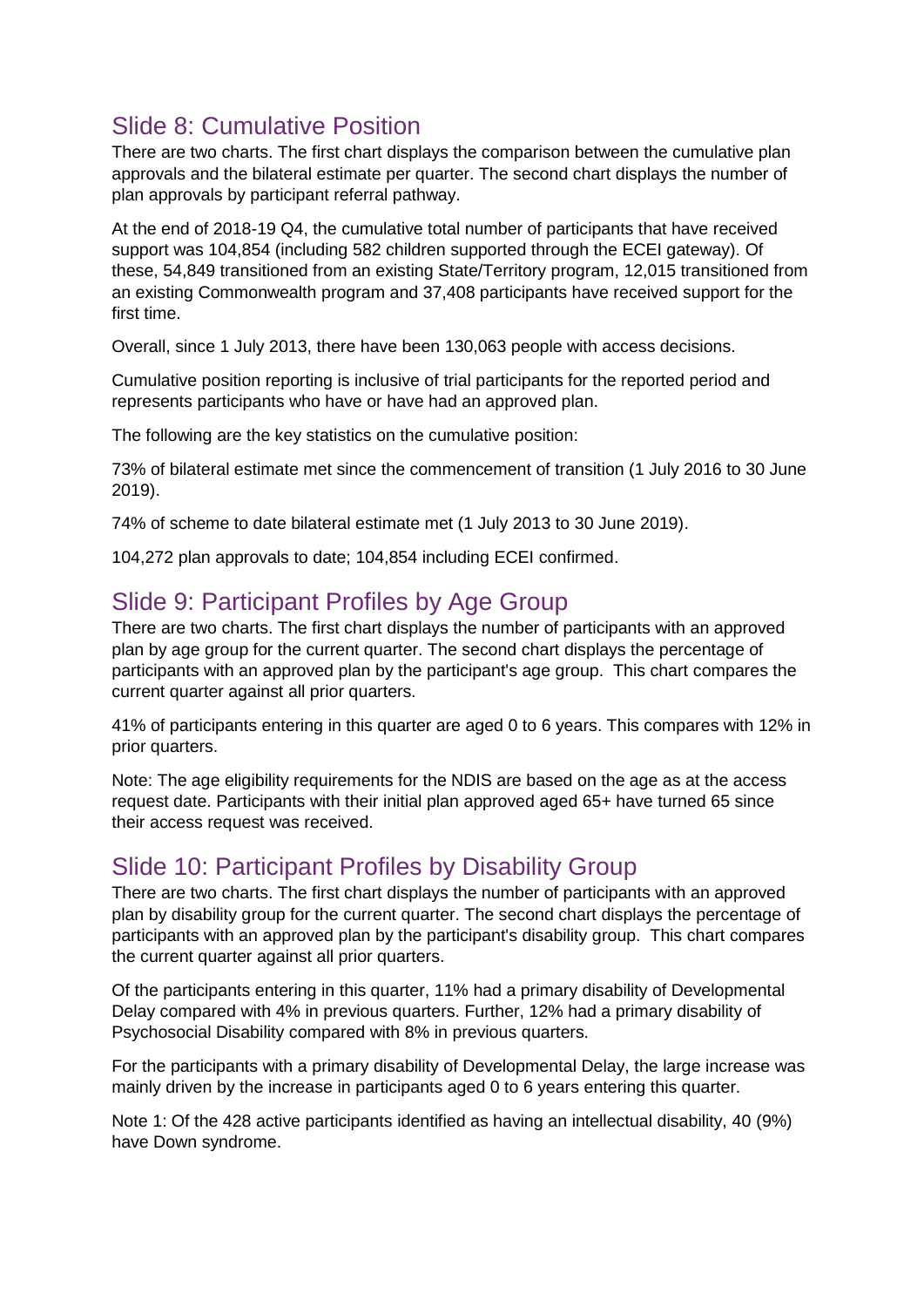# Slide 8: Cumulative Position

There are two charts. The first chart displays the comparison between the cumulative plan approvals and the bilateral estimate per quarter. The second chart displays the number of plan approvals by participant referral pathway.

At the end of 2018-19 Q4, the cumulative total number of participants that have received support was 104,854 (including 582 children supported through the ECEI gateway). Of these, 54,849 transitioned from an existing State/Territory program, 12,015 transitioned from an existing Commonwealth program and 37,408 participants have received support for the first time.

Overall, since 1 July 2013, there have been 130,063 people with access decisions.

Cumulative position reporting is inclusive of trial participants for the reported period and represents participants who have or have had an approved plan.

The following are the key statistics on the cumulative position:

73% of bilateral estimate met since the commencement of transition (1 July 2016 to 30 June 2019).

74% of scheme to date bilateral estimate met (1 July 2013 to 30 June 2019).

104,272 plan approvals to date; 104,854 including ECEI confirmed.

### Slide 9: Participant Profiles by Age Group

There are two charts. The first chart displays the number of participants with an approved plan by age group for the current quarter. The second chart displays the percentage of participants with an approved plan by the participant's age group. This chart compares the current quarter against all prior quarters.

41% of participants entering in this quarter are aged 0 to 6 years. This compares with 12% in prior quarters.

Note: The age eligibility requirements for the NDIS are based on the age as at the access request date. Participants with their initial plan approved aged 65+ have turned 65 since their access request was received.

### Slide 10: Participant Profiles by Disability Group

There are two charts. The first chart displays the number of participants with an approved plan by disability group for the current quarter. The second chart displays the percentage of participants with an approved plan by the participant's disability group. This chart compares the current quarter against all prior quarters.

Of the participants entering in this quarter, 11% had a primary disability of Developmental Delay compared with 4% in previous quarters. Further, 12% had a primary disability of Psychosocial Disability compared with 8% in previous quarters.

For the participants with a primary disability of Developmental Delay, the large increase was mainly driven by the increase in participants aged 0 to 6 years entering this quarter.

Note 1: Of the 428 active participants identified as having an intellectual disability, 40 (9%) have Down syndrome.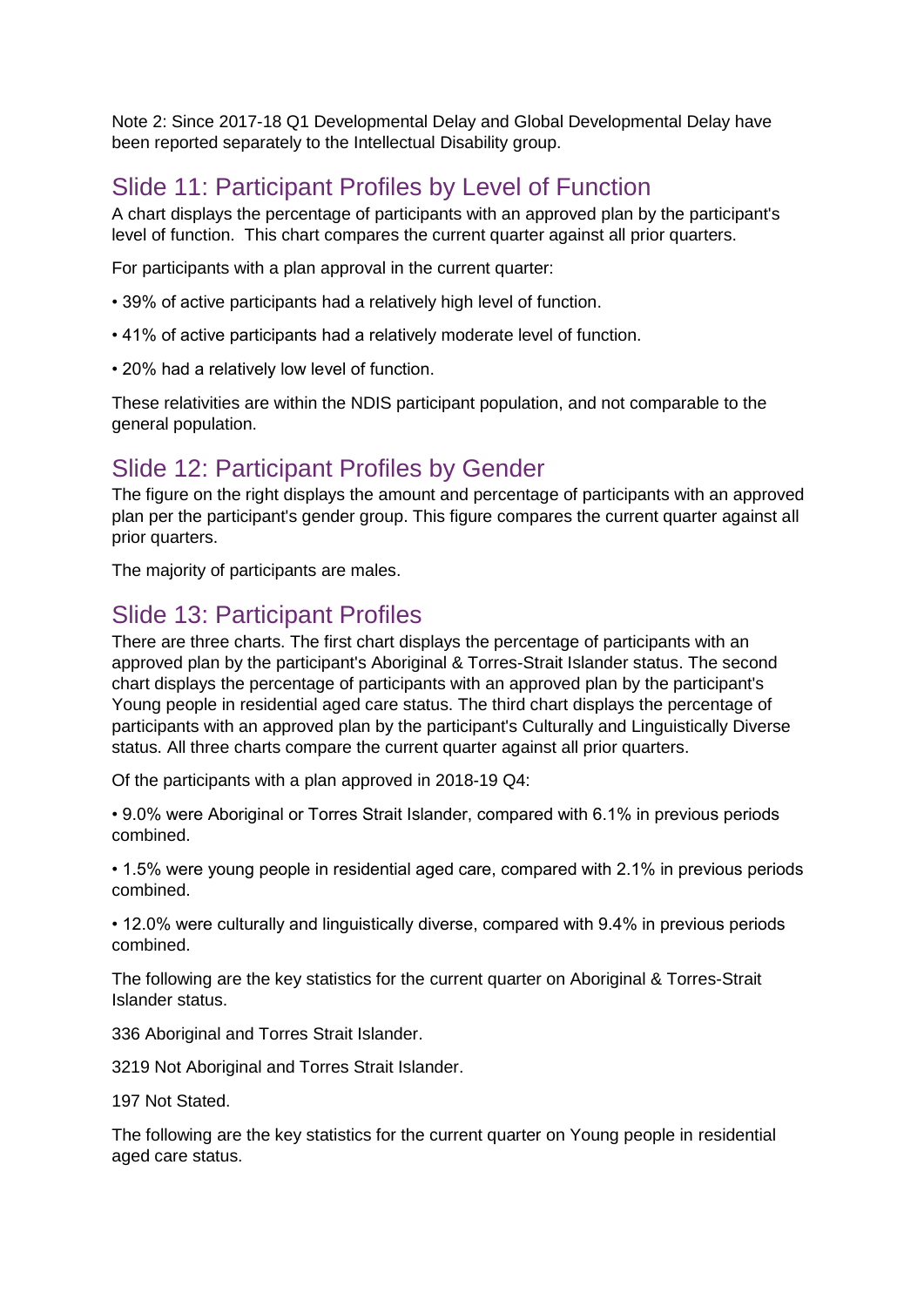Note 2: Since 2017-18 Q1 Developmental Delay and Global Developmental Delay have been reported separately to the Intellectual Disability group.

# Slide 11: Participant Profiles by Level of Function

A chart displays the percentage of participants with an approved plan by the participant's level of function. This chart compares the current quarter against all prior quarters.

For participants with a plan approval in the current quarter:

- 39% of active participants had a relatively high level of function.
- 41% of active participants had a relatively moderate level of function.
- 20% had a relatively low level of function.

These relativities are within the NDIS participant population, and not comparable to the general population.

## Slide 12: Participant Profiles by Gender

The figure on the right displays the amount and percentage of participants with an approved plan per the participant's gender group. This figure compares the current quarter against all prior quarters.

The majority of participants are males.

### Slide 13: Participant Profiles

There are three charts. The first chart displays the percentage of participants with an approved plan by the participant's Aboriginal & Torres-Strait Islander status. The second chart displays the percentage of participants with an approved plan by the participant's Young people in residential aged care status. The third chart displays the percentage of participants with an approved plan by the participant's Culturally and Linguistically Diverse status. All three charts compare the current quarter against all prior quarters.

Of the participants with a plan approved in 2018-19 Q4:

• 9.0% were Aboriginal or Torres Strait Islander, compared with 6.1% in previous periods combined.

• 1.5% were young people in residential aged care, compared with 2.1% in previous periods combined.

• 12.0% were culturally and linguistically diverse, compared with 9.4% in previous periods combined.

The following are the key statistics for the current quarter on Aboriginal & Torres-Strait Islander status.

336 Aboriginal and Torres Strait Islander.

3219 Not Aboriginal and Torres Strait Islander.

197 Not Stated.

The following are the key statistics for the current quarter on Young people in residential aged care status.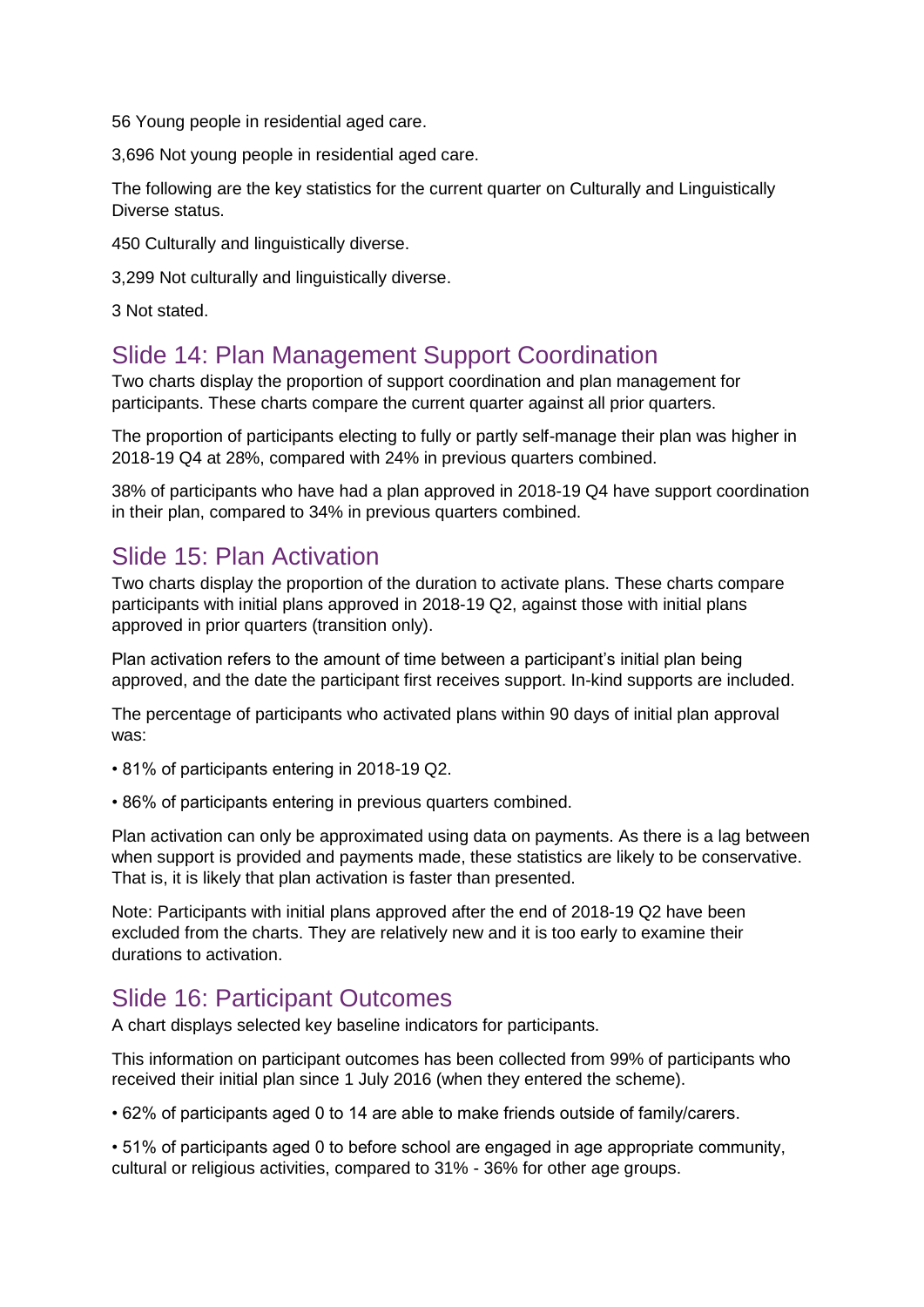56 Young people in residential aged care.

3,696 Not young people in residential aged care.

The following are the key statistics for the current quarter on Culturally and Linguistically Diverse status.

450 Culturally and linguistically diverse.

3,299 Not culturally and linguistically diverse.

3 Not stated.

### Slide 14: Plan Management Support Coordination

Two charts display the proportion of support coordination and plan management for participants. These charts compare the current quarter against all prior quarters.

The proportion of participants electing to fully or partly self-manage their plan was higher in 2018-19 Q4 at 28%, compared with 24% in previous quarters combined.

38% of participants who have had a plan approved in 2018-19 Q4 have support coordination in their plan, compared to 34% in previous quarters combined.

### Slide 15: Plan Activation

Two charts display the proportion of the duration to activate plans. These charts compare participants with initial plans approved in 2018-19 Q2, against those with initial plans approved in prior quarters (transition only).

Plan activation refers to the amount of time between a participant's initial plan being approved, and the date the participant first receives support. In-kind supports are included.

The percentage of participants who activated plans within 90 days of initial plan approval was:

• 81% of participants entering in 2018-19 Q2.

• 86% of participants entering in previous quarters combined.

Plan activation can only be approximated using data on payments. As there is a lag between when support is provided and payments made, these statistics are likely to be conservative. That is, it is likely that plan activation is faster than presented.

Note: Participants with initial plans approved after the end of 2018-19 Q2 have been excluded from the charts. They are relatively new and it is too early to examine their durations to activation.

### Slide 16: Participant Outcomes

A chart displays selected key baseline indicators for participants.

This information on participant outcomes has been collected from 99% of participants who received their initial plan since 1 July 2016 (when they entered the scheme).

• 62% of participants aged 0 to 14 are able to make friends outside of family/carers.

• 51% of participants aged 0 to before school are engaged in age appropriate community, cultural or religious activities, compared to 31% - 36% for other age groups.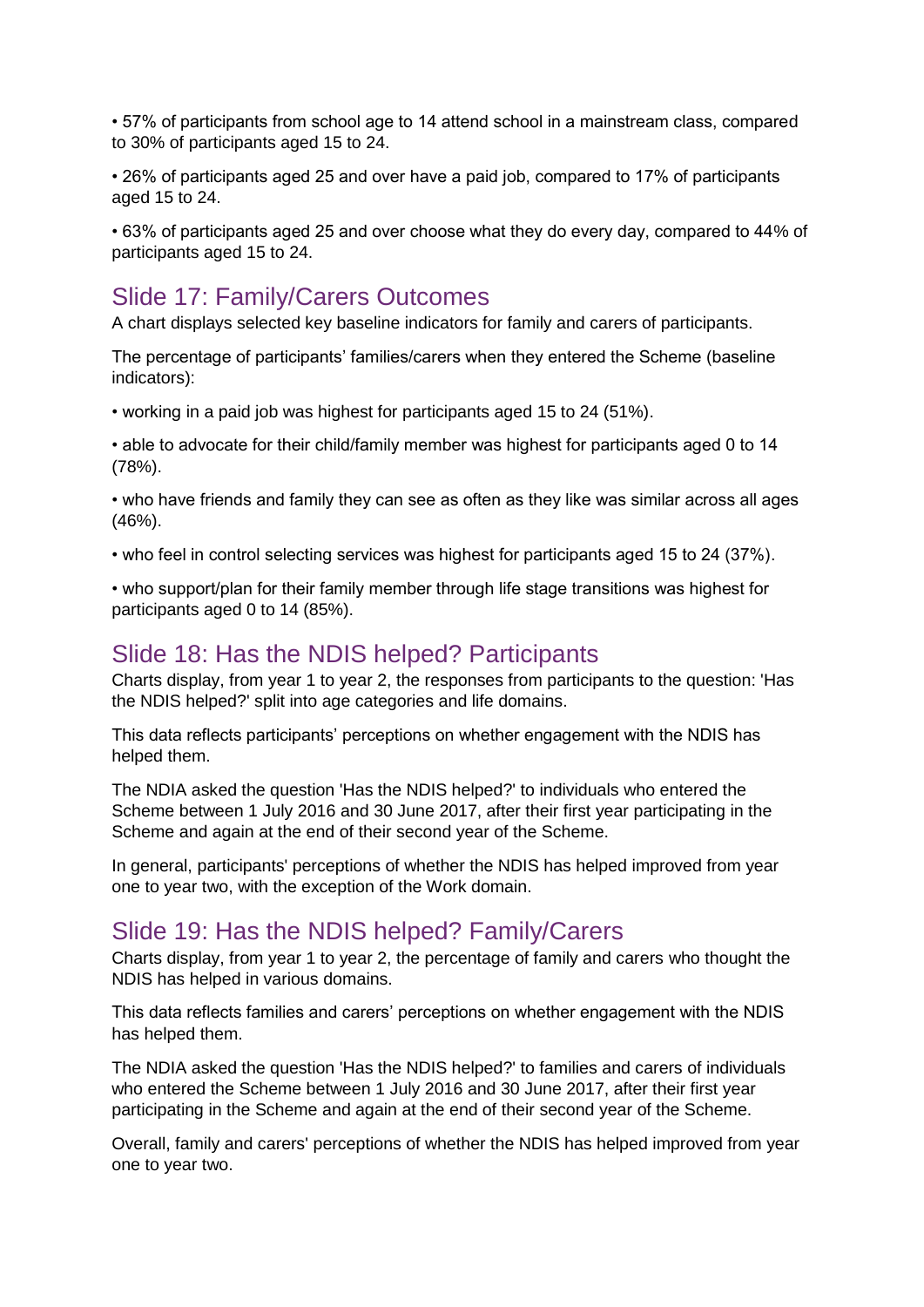• 57% of participants from school age to 14 attend school in a mainstream class, compared to 30% of participants aged 15 to 24.

• 26% of participants aged 25 and over have a paid job, compared to 17% of participants aged 15 to 24.

• 63% of participants aged 25 and over choose what they do every day, compared to 44% of participants aged 15 to 24.

### Slide 17: Family/Carers Outcomes

A chart displays selected key baseline indicators for family and carers of participants.

The percentage of participants' families/carers when they entered the Scheme (baseline indicators):

• working in a paid job was highest for participants aged 15 to 24 (51%).

• able to advocate for their child/family member was highest for participants aged 0 to 14 (78%).

• who have friends and family they can see as often as they like was similar across all ages  $(46%)$ .

• who feel in control selecting services was highest for participants aged 15 to 24 (37%).

• who support/plan for their family member through life stage transitions was highest for participants aged 0 to 14 (85%).

#### Slide 18: Has the NDIS helped? Participants

Charts display, from year 1 to year 2, the responses from participants to the question: 'Has the NDIS helped?' split into age categories and life domains.

This data reflects participants' perceptions on whether engagement with the NDIS has helped them.

The NDIA asked the question 'Has the NDIS helped?' to individuals who entered the Scheme between 1 July 2016 and 30 June 2017, after their first year participating in the Scheme and again at the end of their second year of the Scheme.

In general, participants' perceptions of whether the NDIS has helped improved from year one to year two, with the exception of the Work domain.

#### Slide 19: Has the NDIS helped? Family/Carers

Charts display, from year 1 to year 2, the percentage of family and carers who thought the NDIS has helped in various domains.

This data reflects families and carers' perceptions on whether engagement with the NDIS has helped them.

The NDIA asked the question 'Has the NDIS helped?' to families and carers of individuals who entered the Scheme between 1 July 2016 and 30 June 2017, after their first year participating in the Scheme and again at the end of their second year of the Scheme.

Overall, family and carers' perceptions of whether the NDIS has helped improved from year one to year two.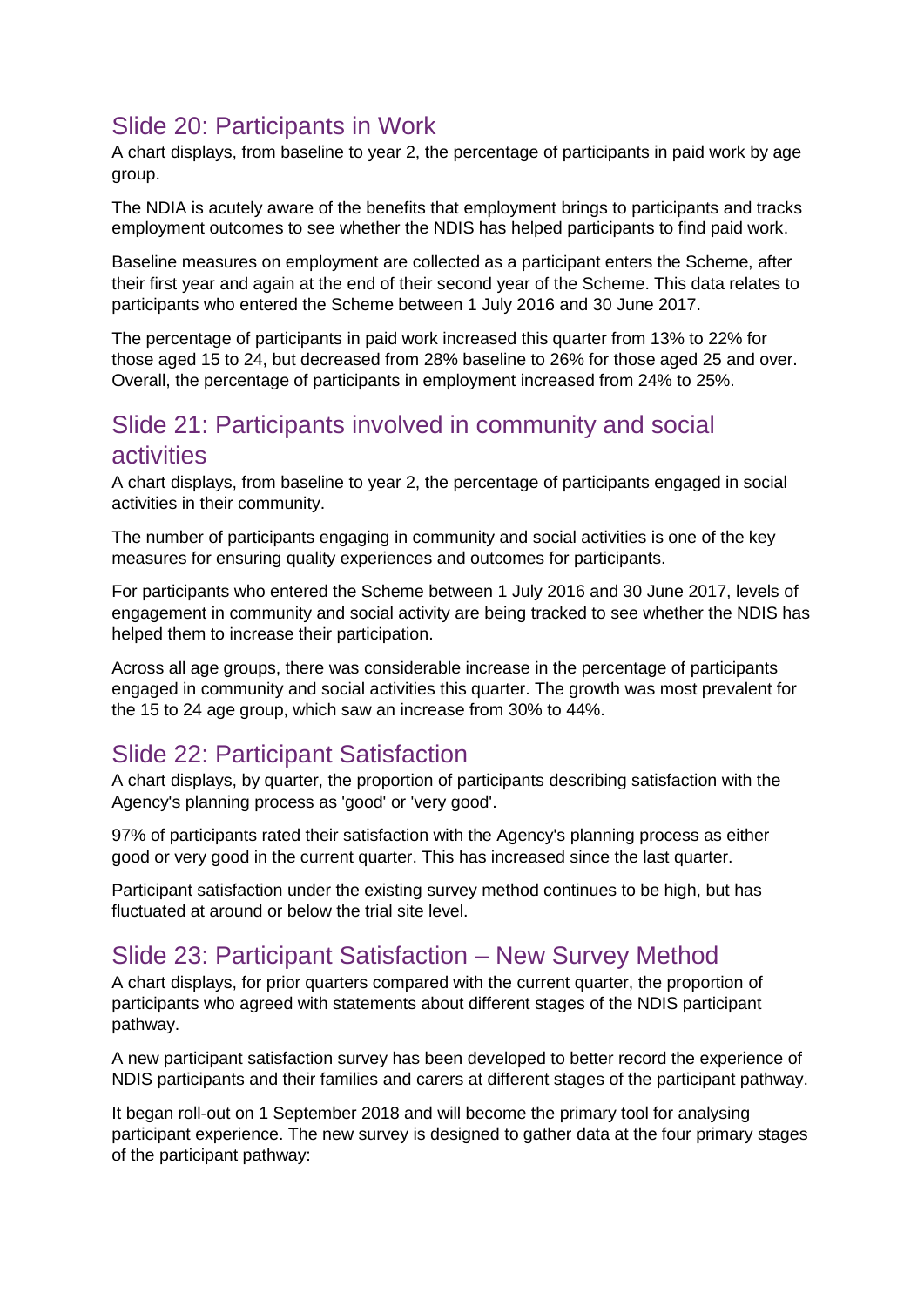# Slide 20: Participants in Work

A chart displays, from baseline to year 2, the percentage of participants in paid work by age group.

The NDIA is acutely aware of the benefits that employment brings to participants and tracks employment outcomes to see whether the NDIS has helped participants to find paid work.

Baseline measures on employment are collected as a participant enters the Scheme, after their first year and again at the end of their second year of the Scheme. This data relates to participants who entered the Scheme between 1 July 2016 and 30 June 2017.

The percentage of participants in paid work increased this quarter from 13% to 22% for those aged 15 to 24, but decreased from 28% baseline to 26% for those aged 25 and over. Overall, the percentage of participants in employment increased from 24% to 25%.

### Slide 21: Participants involved in community and social activities

A chart displays, from baseline to year 2, the percentage of participants engaged in social activities in their community.

The number of participants engaging in community and social activities is one of the key measures for ensuring quality experiences and outcomes for participants.

For participants who entered the Scheme between 1 July 2016 and 30 June 2017, levels of engagement in community and social activity are being tracked to see whether the NDIS has helped them to increase their participation.

Across all age groups, there was considerable increase in the percentage of participants engaged in community and social activities this quarter. The growth was most prevalent for the 15 to 24 age group, which saw an increase from 30% to 44%.

# Slide 22: Participant Satisfaction

A chart displays, by quarter, the proportion of participants describing satisfaction with the Agency's planning process as 'good' or 'very good'.

97% of participants rated their satisfaction with the Agency's planning process as either good or very good in the current quarter. This has increased since the last quarter.

Participant satisfaction under the existing survey method continues to be high, but has fluctuated at around or below the trial site level.

### Slide 23: Participant Satisfaction – New Survey Method

A chart displays, for prior quarters compared with the current quarter, the proportion of participants who agreed with statements about different stages of the NDIS participant pathway.

A new participant satisfaction survey has been developed to better record the experience of NDIS participants and their families and carers at different stages of the participant pathway.

It began roll-out on 1 September 2018 and will become the primary tool for analysing participant experience. The new survey is designed to gather data at the four primary stages of the participant pathway: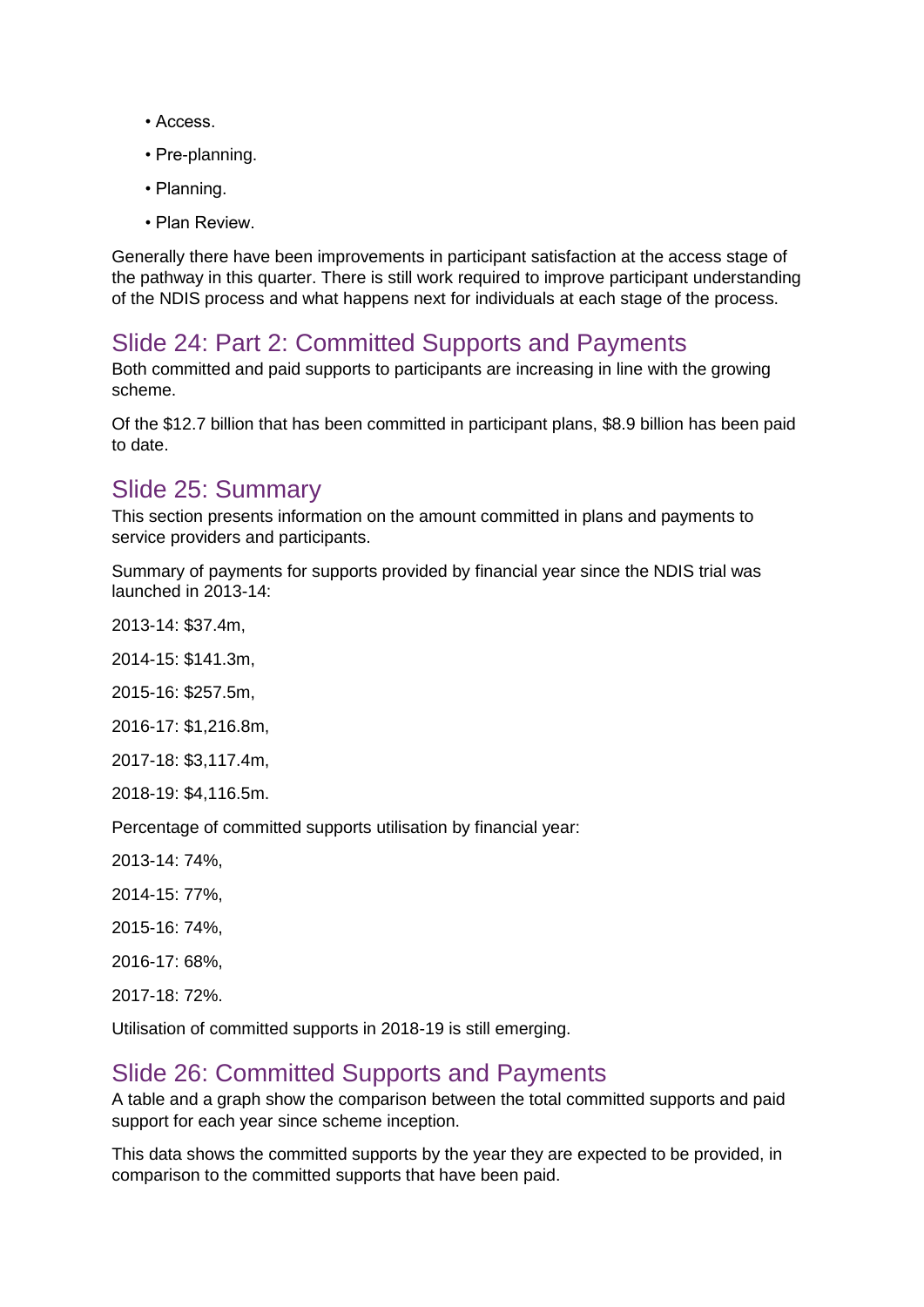- Access.
- Pre-planning.
- Planning.
- Plan Review.

Generally there have been improvements in participant satisfaction at the access stage of the pathway in this quarter. There is still work required to improve participant understanding of the NDIS process and what happens next for individuals at each stage of the process.

# Slide 24: Part 2: Committed Supports and Payments

Both committed and paid supports to participants are increasing in line with the growing scheme.

Of the \$12.7 billion that has been committed in participant plans, \$8.9 billion has been paid to date.

### Slide 25: Summary

This section presents information on the amount committed in plans and payments to service providers and participants.

Summary of payments for supports provided by financial year since the NDIS trial was launched in 2013-14:

2013-14: \$37.4m,

2014-15: \$141.3m,

2015-16: \$257.5m,

2016-17: \$1,216.8m,

2017-18: \$3,117.4m,

2018-19: \$4,116.5m.

Percentage of committed supports utilisation by financial year:

- 2013-14: 74%,
- 2014-15: 77%,
- 2015-16: 74%,
- 2016-17: 68%,

2017-18: 72%.

Utilisation of committed supports in 2018-19 is still emerging.

### Slide 26: Committed Supports and Payments

A table and a graph show the comparison between the total committed supports and paid support for each year since scheme inception.

This data shows the committed supports by the year they are expected to be provided, in comparison to the committed supports that have been paid.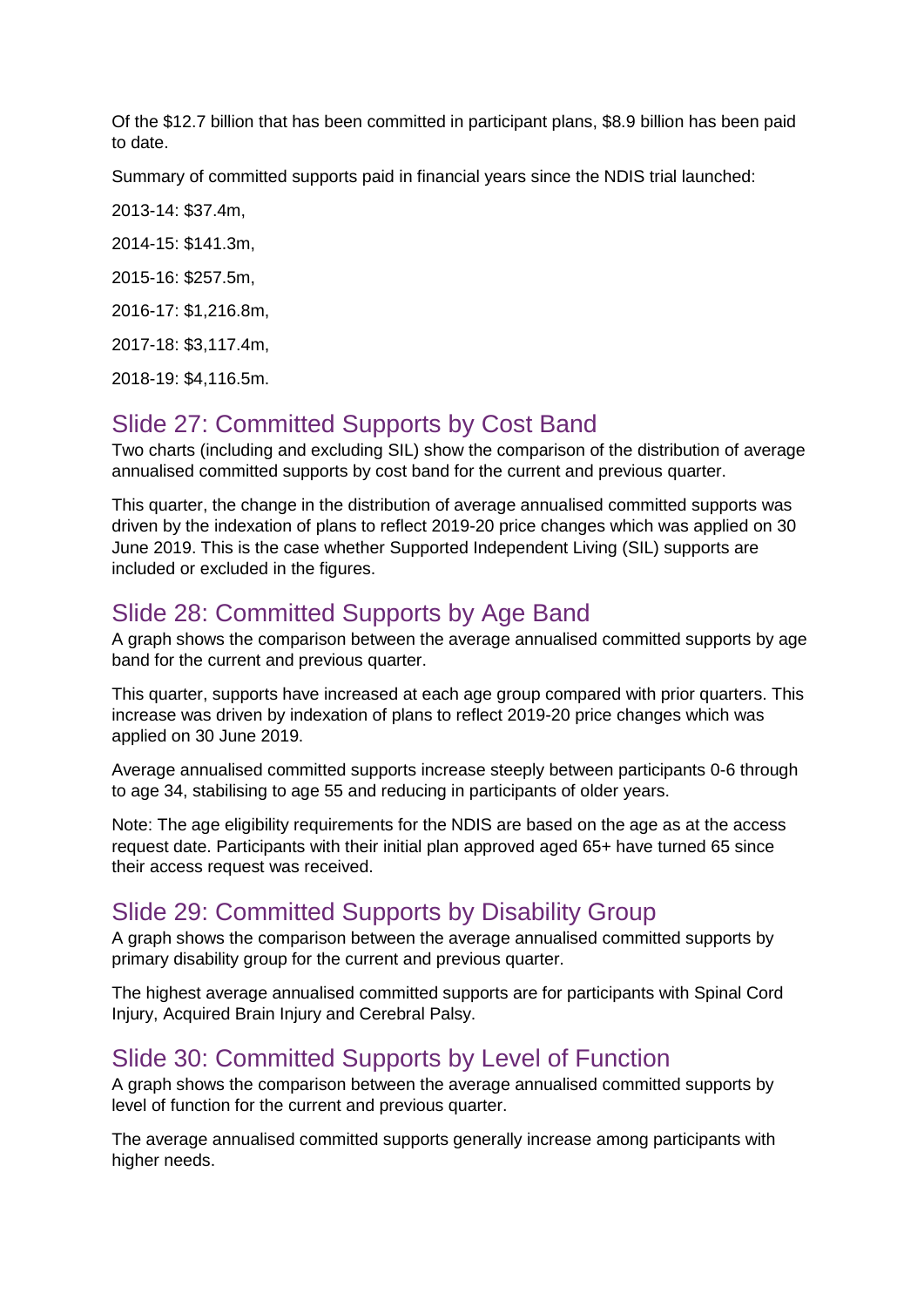Of the \$12.7 billion that has been committed in participant plans, \$8.9 billion has been paid to date.

Summary of committed supports paid in financial years since the NDIS trial launched:

2013-14: \$37.4m, 2014-15: \$141.3m, 2015-16: \$257.5m,

2016-17: \$1,216.8m,

2017-18: \$3,117.4m,

2018-19: \$4,116.5m.

# Slide 27: Committed Supports by Cost Band

Two charts (including and excluding SIL) show the comparison of the distribution of average annualised committed supports by cost band for the current and previous quarter.

This quarter, the change in the distribution of average annualised committed supports was driven by the indexation of plans to reflect 2019-20 price changes which was applied on 30 June 2019. This is the case whether Supported Independent Living (SIL) supports are included or excluded in the figures.

# Slide 28: Committed Supports by Age Band

A graph shows the comparison between the average annualised committed supports by age band for the current and previous quarter.

This quarter, supports have increased at each age group compared with prior quarters. This increase was driven by indexation of plans to reflect 2019-20 price changes which was applied on 30 June 2019.

Average annualised committed supports increase steeply between participants 0-6 through to age 34, stabilising to age 55 and reducing in participants of older years.

Note: The age eligibility requirements for the NDIS are based on the age as at the access request date. Participants with their initial plan approved aged 65+ have turned 65 since their access request was received.

## Slide 29: Committed Supports by Disability Group

A graph shows the comparison between the average annualised committed supports by primary disability group for the current and previous quarter.

The highest average annualised committed supports are for participants with Spinal Cord Injury, Acquired Brain Injury and Cerebral Palsy.

### Slide 30: Committed Supports by Level of Function

A graph shows the comparison between the average annualised committed supports by level of function for the current and previous quarter.

The average annualised committed supports generally increase among participants with higher needs.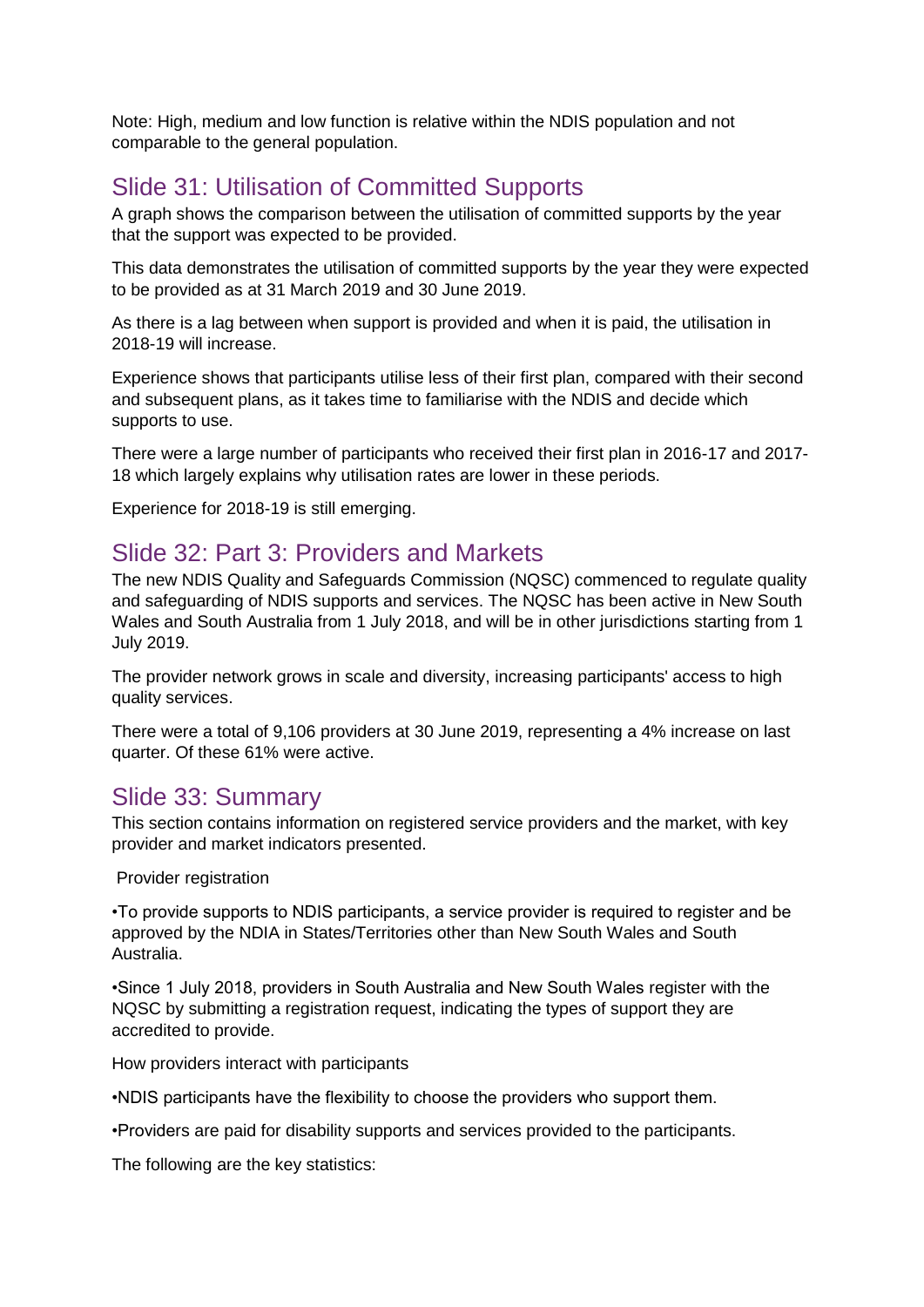Note: High, medium and low function is relative within the NDIS population and not comparable to the general population.

# Slide 31: Utilisation of Committed Supports

A graph shows the comparison between the utilisation of committed supports by the year that the support was expected to be provided.

This data demonstrates the utilisation of committed supports by the year they were expected to be provided as at 31 March 2019 and 30 June 2019.

As there is a lag between when support is provided and when it is paid, the utilisation in 2018-19 will increase.

Experience shows that participants utilise less of their first plan, compared with their second and subsequent plans, as it takes time to familiarise with the NDIS and decide which supports to use.

There were a large number of participants who received their first plan in 2016-17 and 2017- 18 which largely explains why utilisation rates are lower in these periods.

Experience for 2018-19 is still emerging.

### Slide 32: Part 3: Providers and Markets

The new NDIS Quality and Safeguards Commission (NQSC) commenced to regulate quality and safeguarding of NDIS supports and services. The NQSC has been active in New South Wales and South Australia from 1 July 2018, and will be in other jurisdictions starting from 1 July 2019.

The provider network grows in scale and diversity, increasing participants' access to high quality services.

There were a total of 9,106 providers at 30 June 2019, representing a 4% increase on last quarter. Of these 61% were active.

#### Slide 33: Summary

This section contains information on registered service providers and the market, with key provider and market indicators presented.

Provider registration

•To provide supports to NDIS participants, a service provider is required to register and be approved by the NDIA in States/Territories other than New South Wales and South Australia.

•Since 1 July 2018, providers in South Australia and New South Wales register with the NQSC by submitting a registration request, indicating the types of support they are accredited to provide.

How providers interact with participants

•NDIS participants have the flexibility to choose the providers who support them.

•Providers are paid for disability supports and services provided to the participants.

The following are the key statistics: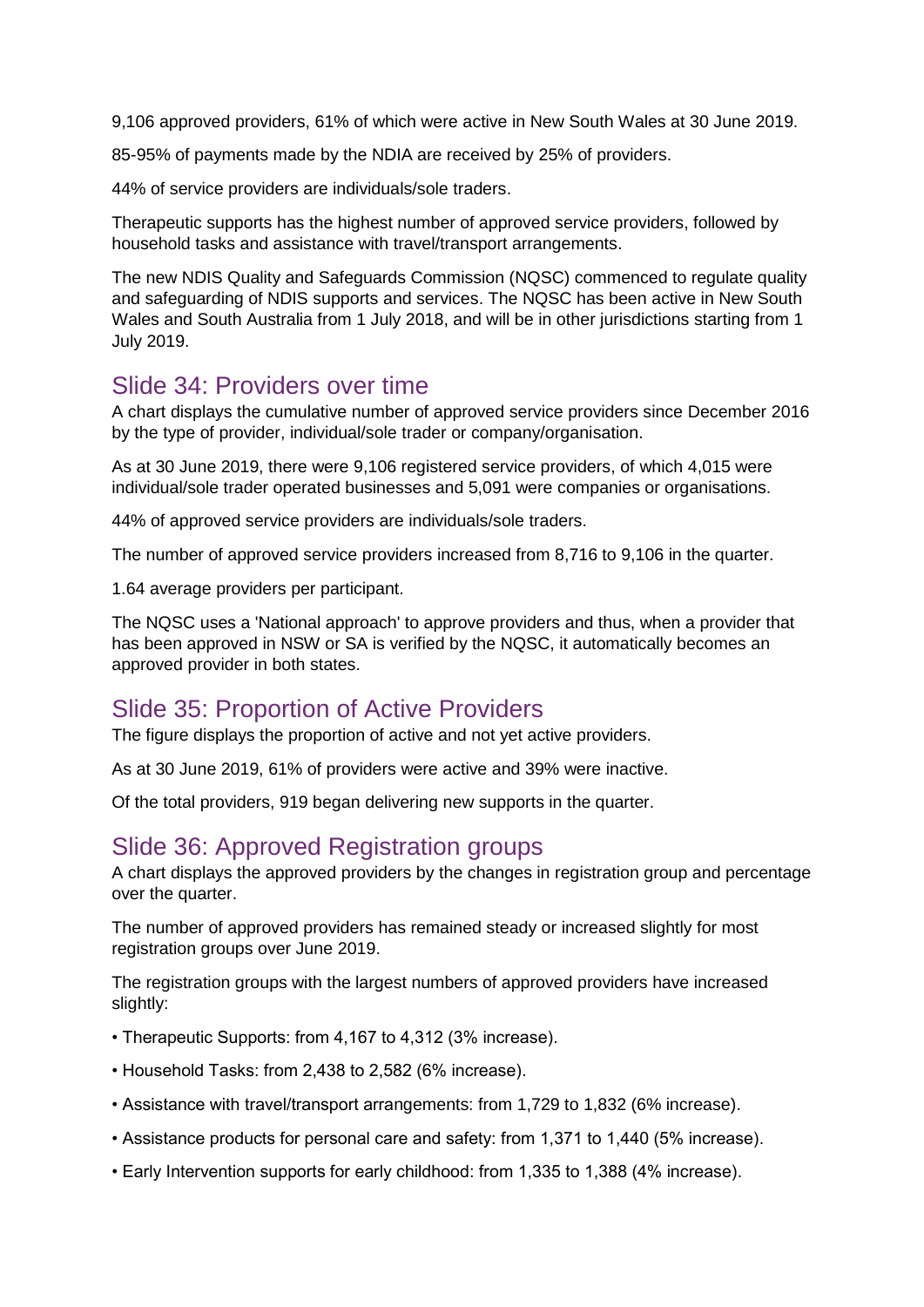9,106 approved providers, 61% of which were active in New South Wales at 30 June 2019.

85-95% of payments made by the NDIA are received by 25% of providers.

44% of service providers are individuals/sole traders.

Therapeutic supports has the highest number of approved service providers, followed by household tasks and assistance with travel/transport arrangements.

The new NDIS Quality and Safeguards Commission (NQSC) commenced to regulate quality and safeguarding of NDIS supports and services. The NQSC has been active in New South Wales and South Australia from 1 July 2018, and will be in other jurisdictions starting from 1 July 2019.

#### Slide 34: Providers over time

A chart displays the cumulative number of approved service providers since December 2016 by the type of provider, individual/sole trader or company/organisation.

As at 30 June 2019, there were 9,106 registered service providers, of which 4,015 were individual/sole trader operated businesses and 5,091 were companies or organisations.

44% of approved service providers are individuals/sole traders.

The number of approved service providers increased from 8,716 to 9,106 in the quarter.

1.64 average providers per participant.

The NQSC uses a 'National approach' to approve providers and thus, when a provider that has been approved in NSW or SA is verified by the NQSC, it automatically becomes an approved provider in both states.

#### Slide 35: Proportion of Active Providers

The figure displays the proportion of active and not yet active providers.

As at 30 June 2019, 61% of providers were active and 39% were inactive.

Of the total providers, 919 began delivering new supports in the quarter.

#### Slide 36: Approved Registration groups

A chart displays the approved providers by the changes in registration group and percentage over the quarter.

The number of approved providers has remained steady or increased slightly for most registration groups over June 2019.

The registration groups with the largest numbers of approved providers have increased slightly:

- Therapeutic Supports: from 4,167 to 4,312 (3% increase).
- Household Tasks: from 2,438 to 2,582 (6% increase).
- Assistance with travel/transport arrangements: from 1,729 to 1,832 (6% increase).
- Assistance products for personal care and safety: from 1,371 to 1,440 (5% increase).
- Early Intervention supports for early childhood: from 1,335 to 1,388 (4% increase).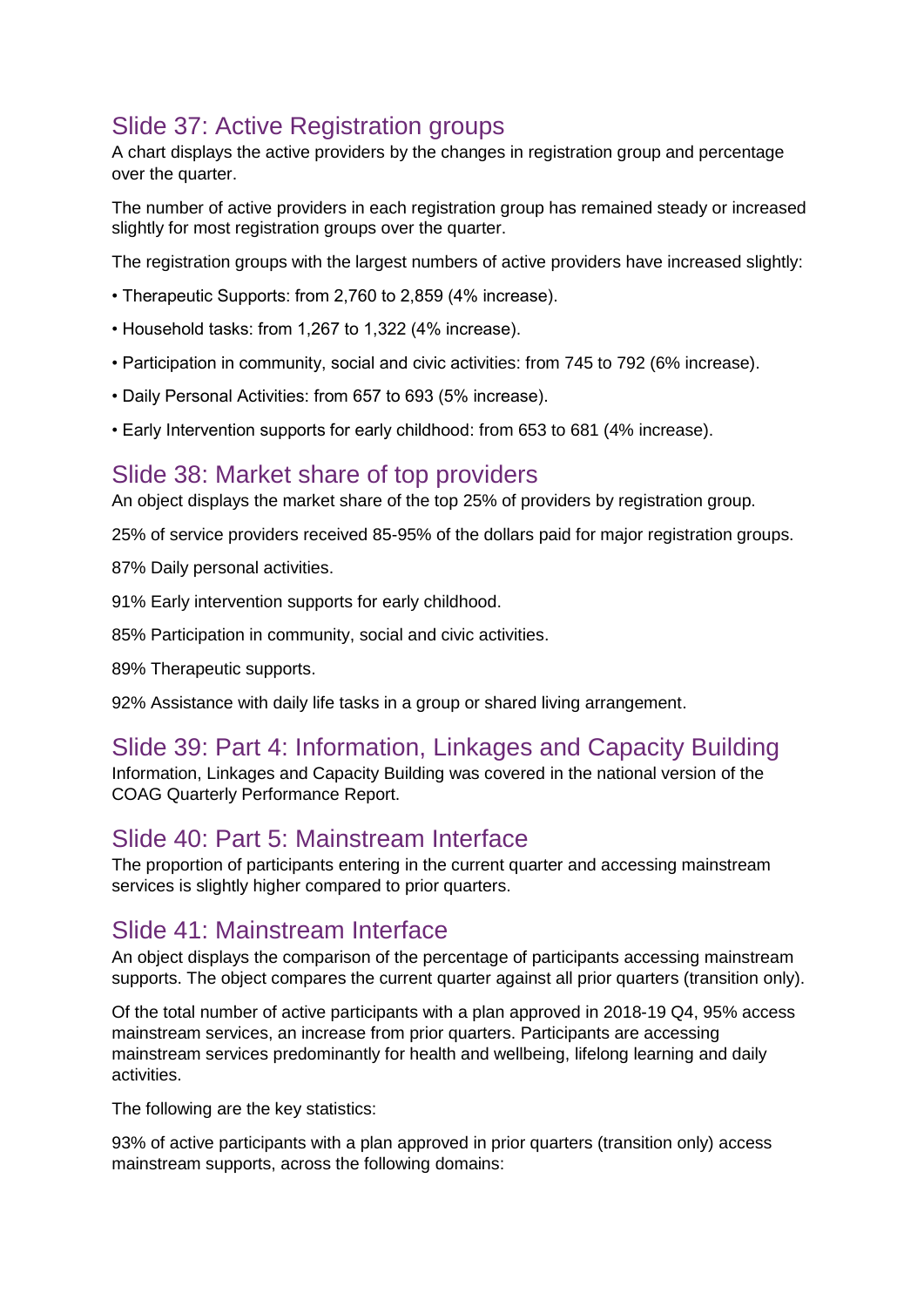# Slide 37: Active Registration groups

A chart displays the active providers by the changes in registration group and percentage over the quarter.

The number of active providers in each registration group has remained steady or increased slightly for most registration groups over the quarter.

The registration groups with the largest numbers of active providers have increased slightly:

- Therapeutic Supports: from 2,760 to 2,859 (4% increase).
- Household tasks: from 1,267 to 1,322 (4% increase).
- Participation in community, social and civic activities: from 745 to 792 (6% increase).
- Daily Personal Activities: from 657 to 693 (5% increase).
- Early Intervention supports for early childhood: from 653 to 681 (4% increase).

## Slide 38: Market share of top providers

An object displays the market share of the top 25% of providers by registration group.

25% of service providers received 85-95% of the dollars paid for major registration groups.

87% Daily personal activities.

91% Early intervention supports for early childhood.

85% Participation in community, social and civic activities.

89% Therapeutic supports.

92% Assistance with daily life tasks in a group or shared living arrangement.

### Slide 39: Part 4: Information, Linkages and Capacity Building

Information, Linkages and Capacity Building was covered in the national version of the COAG Quarterly Performance Report.

## Slide 40: Part 5: Mainstream Interface

The proportion of participants entering in the current quarter and accessing mainstream services is slightly higher compared to prior quarters.

### Slide 41: Mainstream Interface

An object displays the comparison of the percentage of participants accessing mainstream supports. The object compares the current quarter against all prior quarters (transition only).

Of the total number of active participants with a plan approved in 2018-19 Q4, 95% access mainstream services, an increase from prior quarters. Participants are accessing mainstream services predominantly for health and wellbeing, lifelong learning and daily activities.

The following are the key statistics:

93% of active participants with a plan approved in prior quarters (transition only) access mainstream supports, across the following domains: